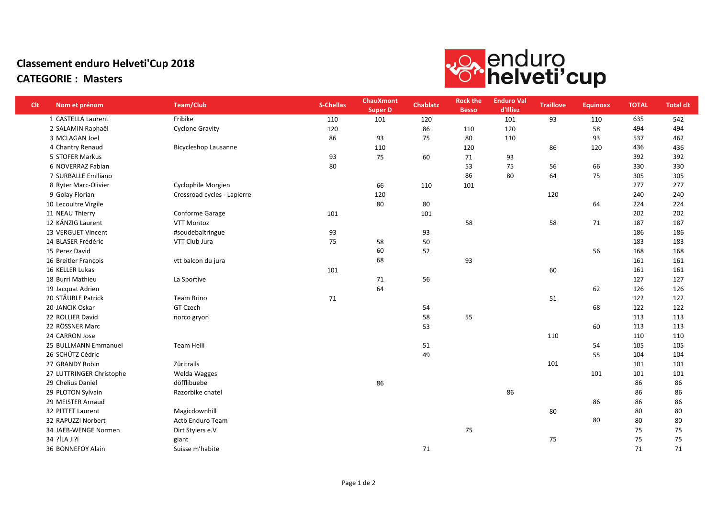## Classement enduro Helveti'Cup 2018 CATEGORIE : Masters



| <b>Clt</b> | Nom et prénom            | <b>Team/Club</b>            | <b>S-Chellas</b> | <b>ChauXmont</b><br><b>Super D</b> | <b>Chablatz</b> | <b>Rock the</b><br><b>Besso</b> | <b>Enduro Val</b><br>d'Illiez | <b>Traillove</b> | <b>Equinoxx</b> | <b>TOTAL</b> | <b>Total clt</b> |
|------------|--------------------------|-----------------------------|------------------|------------------------------------|-----------------|---------------------------------|-------------------------------|------------------|-----------------|--------------|------------------|
|            | 1 CASTELLA Laurent       | Fribike                     | 110              | 101                                | 120             |                                 | 101                           | 93               | 110             | 635          | 542              |
|            | 2 SALAMIN Raphaël        | <b>Cyclone Gravity</b>      | 120              |                                    | 86              | 110                             | 120                           |                  | 58              | 494          | 494              |
|            | 3 MCLAGAN Joel           |                             | 86               | 93                                 | 75              | 80                              | 110                           |                  | 93              | 537          | 462              |
|            | 4 Chantry Renaud         | <b>Bicycleshop Lausanne</b> |                  | 110                                |                 | 120                             |                               | 86               | 120             | 436          | 436              |
|            | 5 STOFER Markus          |                             | 93               | 75                                 | 60              | 71                              | 93                            |                  |                 | 392          | 392              |
|            | 6 NOVERRAZ Fabian        |                             | 80               |                                    |                 | 53                              | 75                            | 56               | 66              | 330          | 330              |
|            | 7 SURBALLE Emiliano      |                             |                  |                                    |                 | 86                              | 80                            | 64               | 75              | 305          | 305              |
|            | 8 Ryter Marc-Olivier     | Cyclophile Morgien          |                  | 66                                 | 110             | 101                             |                               |                  |                 | 277          | 277              |
|            | 9 Golay Florian          | Crossroad cycles - Lapierre |                  | 120                                |                 |                                 |                               | 120              |                 | 240          | 240              |
|            | 10 Lecoultre Virgile     |                             |                  | 80                                 | 80              |                                 |                               |                  | 64              | 224          | 224              |
|            | 11 NEAU Thierry          | Conforme Garage             | 101              |                                    | 101             |                                 |                               |                  |                 | 202          | 202              |
|            | 12 KÄNZIG Laurent        | <b>VTT Montoz</b>           |                  |                                    |                 | 58                              |                               | 58               | 71              | 187          | 187              |
|            | 13 VERGUET Vincent       | #soudebaltringue            | 93               |                                    | 93              |                                 |                               |                  |                 | 186          | 186              |
|            | 14 BLASER Frédéric       | VTT Club Jura               | 75               | 58                                 | 50              |                                 |                               |                  |                 | 183          | 183              |
|            | 15 Perez David           |                             |                  | 60                                 | 52              |                                 |                               |                  | 56              | 168          | 168              |
|            | 16 Breitler François     | vtt balcon du jura          |                  | 68                                 |                 | 93                              |                               |                  |                 | 161          | 161              |
|            | 16 KELLER Lukas          |                             | 101              |                                    |                 |                                 |                               | 60               |                 | 161          | 161              |
|            | 18 Burri Mathieu         | La Sportive                 |                  | 71                                 | 56              |                                 |                               |                  |                 | 127          | 127              |
|            | 19 Jacquat Adrien        |                             |                  | 64                                 |                 |                                 |                               |                  | 62              | 126          | 126              |
|            | 20 STÄUBLE Patrick       | Team Brino                  | 71               |                                    |                 |                                 |                               | 51               |                 | 122          | 122              |
|            | 20 JANCIK Oskar          | GT Czech                    |                  |                                    | 54              |                                 |                               |                  | 68              | 122          | 122              |
|            | 22 ROLLIER David         | norco gryon                 |                  |                                    | 58              | 55                              |                               |                  |                 | 113          | 113              |
|            | 22 RÖSSNER Marc          |                             |                  |                                    | 53              |                                 |                               |                  | 60              | 113          | 113              |
|            | 24 CARRON Jose           |                             |                  |                                    |                 |                                 |                               | 110              |                 | 110          | 110              |
|            | 25 BULLMANN Emmanuel     | Team Heili                  |                  |                                    | 51              |                                 |                               |                  | 54              | 105          | 105              |
|            | 26 SCHÜTZ Cédric         |                             |                  |                                    | 49              |                                 |                               |                  | 55              | 104          | 104              |
|            | 27 GRANDY Robin          | Züritrails                  |                  |                                    |                 |                                 |                               | 101              |                 | 101          | 101              |
|            | 27 LUTTRINGER Christophe | Welda Wagges                |                  |                                    |                 |                                 |                               |                  | 101             | 101          | 101              |
|            | 29 Chelius Daniel        | döfflibuebe                 |                  | 86                                 |                 |                                 |                               |                  |                 | 86           | 86               |
|            | 29 PLOTON Sylvain        | Razorbike chatel            |                  |                                    |                 |                                 | 86                            |                  |                 | 86           | 86               |
|            | 29 MEISTER Arnaud        |                             |                  |                                    |                 |                                 |                               |                  | 86              | 86           | 86               |
|            | 32 PITTET Laurent        | Magicdownhill               |                  |                                    |                 |                                 |                               | 80               |                 | 80           | 80               |
|            | 32 RAPUZZI Norbert       | Actb Enduro Team            |                  |                                    |                 |                                 |                               |                  | 80              | 80           | 80               |
|            | 34 JAEB-WENGE Normen     | Dirt Stylers e.V            |                  |                                    |                 | 75                              |                               |                  |                 | 75           | 75               |
|            | 34 ?ÍLA Ji?í             | giant                       |                  |                                    |                 |                                 |                               | 75               |                 | 75           | 75               |
|            | 36 BONNEFOY Alain        | Suisse m'habite             |                  |                                    | 71              |                                 |                               |                  |                 | 71           | 71               |